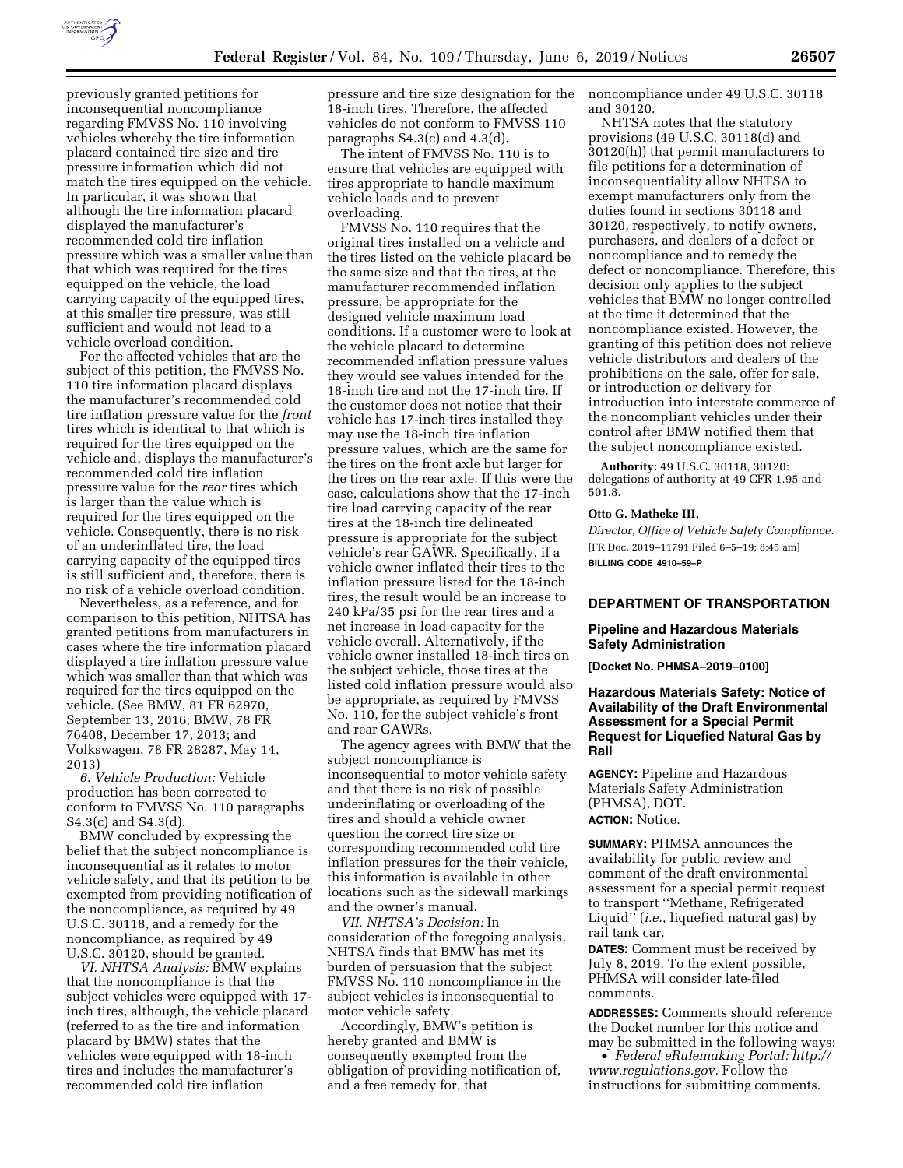

previously granted petitions for inconsequential noncompliance regarding FMVSS No. 110 involving vehicles whereby the tire information placard contained tire size and tire pressure information which did not match the tires equipped on the vehicle. In particular, it was shown that although the tire information placard displayed the manufacturer's recommended cold tire inflation pressure which was a smaller value than that which was required for the tires equipped on the vehicle, the load carrying capacity of the equipped tires, at this smaller tire pressure, was still sufficient and would not lead to a vehicle overload condition.

For the affected vehicles that are the subject of this petition, the FMVSS No. 110 tire information placard displays the manufacturer's recommended cold tire inflation pressure value for the *front*  tires which is identical to that which is required for the tires equipped on the vehicle and, displays the manufacturer's recommended cold tire inflation pressure value for the *rear* tires which is larger than the value which is required for the tires equipped on the vehicle. Consequently, there is no risk of an underinflated tire, the load carrying capacity of the equipped tires is still sufficient and, therefore, there is no risk of a vehicle overload condition.

Nevertheless, as a reference, and for comparison to this petition, NHTSA has granted petitions from manufacturers in cases where the tire information placard displayed a tire inflation pressure value which was smaller than that which was required for the tires equipped on the vehicle. (See BMW, 81 FR 62970, September 13, 2016; BMW, 78 FR 76408, December 17, 2013; and Volkswagen, 78 FR 28287, May 14, 2013)

*6. Vehicle Production:* Vehicle production has been corrected to conform to FMVSS No. 110 paragraphs S4.3(c) and S4.3(d).

BMW concluded by expressing the belief that the subject noncompliance is inconsequential as it relates to motor vehicle safety, and that its petition to be exempted from providing notification of the noncompliance, as required by 49 U.S.C. 30118, and a remedy for the noncompliance, as required by 49 U.S.C. 30120, should be granted.

*VI. NHTSA Analysis:* BMW explains that the noncompliance is that the subject vehicles were equipped with 17 inch tires, although, the vehicle placard (referred to as the tire and information placard by BMW) states that the vehicles were equipped with 18-inch tires and includes the manufacturer's recommended cold tire inflation

pressure and tire size designation for the 18-inch tires. Therefore, the affected vehicles do not conform to FMVSS 110 paragraphs S4.3(c) and 4.3(d).

The intent of FMVSS No. 110 is to ensure that vehicles are equipped with tires appropriate to handle maximum vehicle loads and to prevent overloading.

FMVSS No. 110 requires that the original tires installed on a vehicle and the tires listed on the vehicle placard be the same size and that the tires, at the manufacturer recommended inflation pressure, be appropriate for the designed vehicle maximum load conditions. If a customer were to look at the vehicle placard to determine recommended inflation pressure values they would see values intended for the 18-inch tire and not the 17-inch tire. If the customer does not notice that their vehicle has 17-inch tires installed they may use the 18-inch tire inflation pressure values, which are the same for the tires on the front axle but larger for the tires on the rear axle. If this were the case, calculations show that the 17-inch tire load carrying capacity of the rear tires at the 18-inch tire delineated pressure is appropriate for the subject vehicle's rear GAWR. Specifically, if a vehicle owner inflated their tires to the inflation pressure listed for the 18-inch tires, the result would be an increase to 240 kPa/35 psi for the rear tires and a net increase in load capacity for the vehicle overall. Alternatively, if the vehicle owner installed 18-inch tires on the subject vehicle, those tires at the listed cold inflation pressure would also be appropriate, as required by FMVSS No. 110, for the subject vehicle's front and rear GAWRs.

The agency agrees with BMW that the subject noncompliance is inconsequential to motor vehicle safety and that there is no risk of possible underinflating or overloading of the tires and should a vehicle owner question the correct tire size or corresponding recommended cold tire inflation pressures for the their vehicle, this information is available in other locations such as the sidewall markings and the owner's manual.

*VII. NHTSA's Decision:* In consideration of the foregoing analysis, NHTSA finds that BMW has met its burden of persuasion that the subject FMVSS No. 110 noncompliance in the subject vehicles is inconsequential to motor vehicle safety.

Accordingly, BMW's petition is hereby granted and BMW is consequently exempted from the obligation of providing notification of, and a free remedy for, that

noncompliance under 49 U.S.C. 30118 and 30120.

NHTSA notes that the statutory provisions (49 U.S.C. 30118(d) and 30120(h)) that permit manufacturers to file petitions for a determination of inconsequentiality allow NHTSA to exempt manufacturers only from the duties found in sections 30118 and 30120, respectively, to notify owners, purchasers, and dealers of a defect or noncompliance and to remedy the defect or noncompliance. Therefore, this decision only applies to the subject vehicles that BMW no longer controlled at the time it determined that the noncompliance existed. However, the granting of this petition does not relieve vehicle distributors and dealers of the prohibitions on the sale, offer for sale, or introduction or delivery for introduction into interstate commerce of the noncompliant vehicles under their control after BMW notified them that the subject noncompliance existed.

**Authority:** 49 U.S.C. 30118, 30120: delegations of authority at 49 CFR 1.95 and 501.8.

### **Otto G. Matheke III,**

*Director, Office of Vehicle Safety Compliance.*  [FR Doc. 2019–11791 Filed 6–5–19; 8:45 am] **BILLING CODE 4910–59–P** 

## **DEPARTMENT OF TRANSPORTATION**

### **Pipeline and Hazardous Materials Safety Administration**

**[Docket No. PHMSA–2019–0100]** 

## **Hazardous Materials Safety: Notice of Availability of the Draft Environmental Assessment for a Special Permit Request for Liquefied Natural Gas by Rail**

**AGENCY:** Pipeline and Hazardous Materials Safety Administration (PHMSA), DOT. **ACTION:** Notice.

**SUMMARY:** PHMSA announces the availability for public review and comment of the draft environmental assessment for a special permit request to transport ''Methane, Refrigerated Liquid'' (*i.e.,* liquefied natural gas) by rail tank car.

**DATES:** Comment must be received by July 8, 2019. To the extent possible, PHMSA will consider late-filed comments.

**ADDRESSES:** Comments should reference the Docket number for this notice and may be submitted in the following ways:

• *Federal eRulemaking Portal: [http://](http://www.regulations.gov)  [www.regulations.gov.](http://www.regulations.gov)* Follow the instructions for submitting comments.